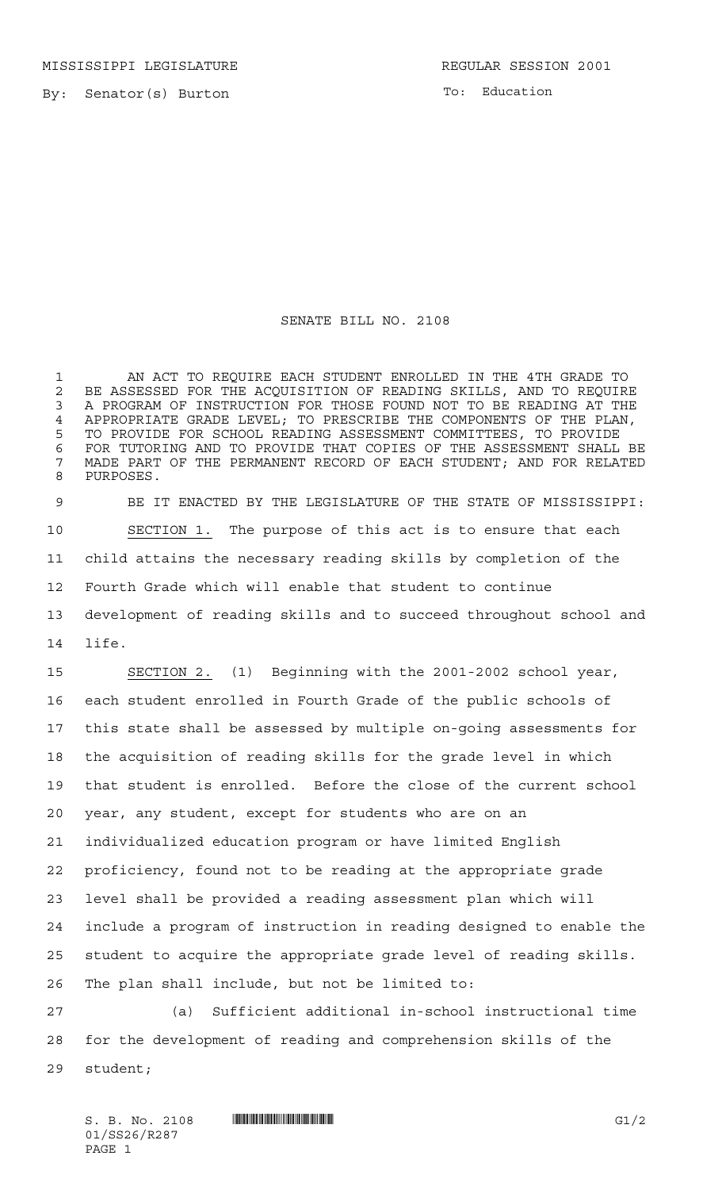MISSISSIPPI LEGISLATURE **REGULAR SESSION 2001** 

By: Senator(s) Burton

To: Education

## SENATE BILL NO. 2108

 AN ACT TO REQUIRE EACH STUDENT ENROLLED IN THE 4TH GRADE TO 2 BE ASSESSED FOR THE ACQUISITION OF READING SKILLS, AND TO REQUIRE<br>3 A PROGRAM OF INSTRUCTION FOR THOSE FOUND NOT TO BE READING AT THE A PROGRAM OF INSTRUCTION FOR THOSE FOUND NOT TO BE READING AT THE APPROPRIATE GRADE LEVEL; TO PRESCRIBE THE COMPONENTS OF THE PLAN, TO PROVIDE FOR SCHOOL READING ASSESSMENT COMMITTEES, TO PROVIDE FOR TUTORING AND TO PROVIDE THAT COPIES OF THE ASSESSMENT SHALL BE MADE PART OF THE PERMANENT RECORD OF EACH STUDENT; AND FOR RELATED PURPOSES.

 BE IT ENACTED BY THE LEGISLATURE OF THE STATE OF MISSISSIPPI: SECTION 1. The purpose of this act is to ensure that each child attains the necessary reading skills by completion of the Fourth Grade which will enable that student to continue development of reading skills and to succeed throughout school and life.

 SECTION 2. (1) Beginning with the 2001-2002 school year, each student enrolled in Fourth Grade of the public schools of this state shall be assessed by multiple on-going assessments for the acquisition of reading skills for the grade level in which that student is enrolled. Before the close of the current school year, any student, except for students who are on an individualized education program or have limited English proficiency, found not to be reading at the appropriate grade level shall be provided a reading assessment plan which will include a program of instruction in reading designed to enable the student to acquire the appropriate grade level of reading skills. The plan shall include, but not be limited to:

 (a) Sufficient additional in-school instructional time for the development of reading and comprehension skills of the student;

S. B. No. 2108 \*SS26/R287\* G1/2 01/SS26/R287 PAGE 1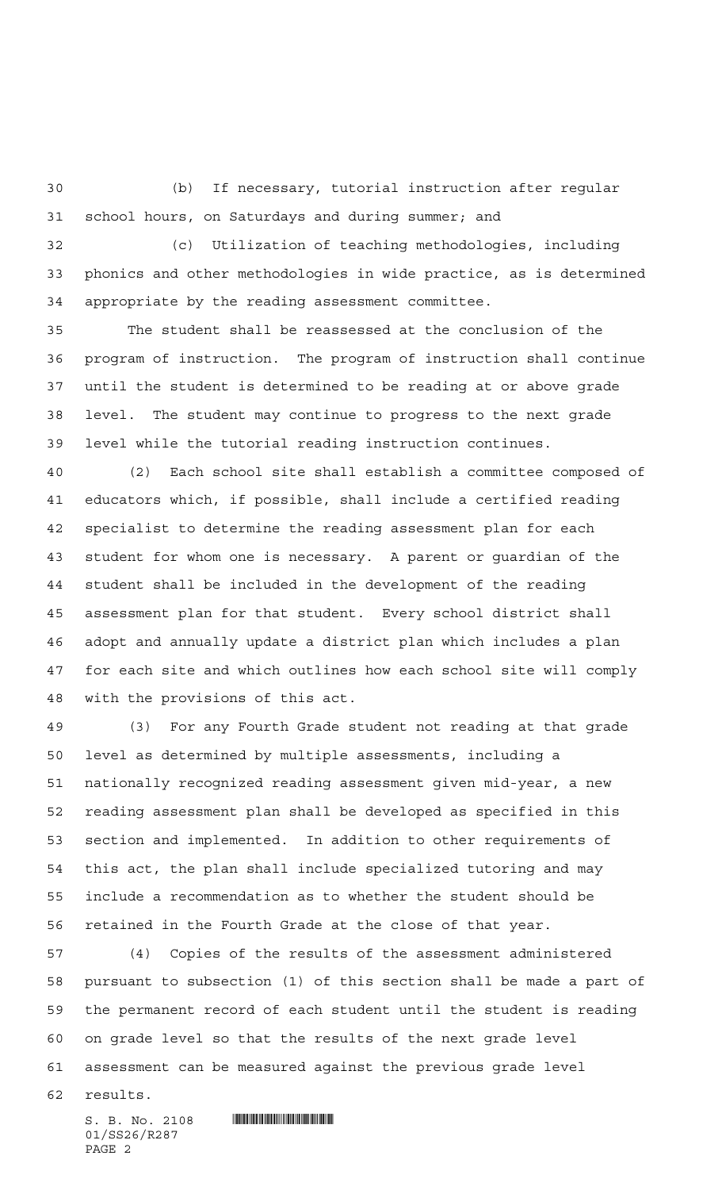(b) If necessary, tutorial instruction after regular school hours, on Saturdays and during summer; and

 (c) Utilization of teaching methodologies, including phonics and other methodologies in wide practice, as is determined appropriate by the reading assessment committee.

 The student shall be reassessed at the conclusion of the program of instruction. The program of instruction shall continue until the student is determined to be reading at or above grade level. The student may continue to progress to the next grade level while the tutorial reading instruction continues.

 (2) Each school site shall establish a committee composed of educators which, if possible, shall include a certified reading specialist to determine the reading assessment plan for each student for whom one is necessary. A parent or guardian of the student shall be included in the development of the reading assessment plan for that student. Every school district shall adopt and annually update a district plan which includes a plan for each site and which outlines how each school site will comply with the provisions of this act.

 (3) For any Fourth Grade student not reading at that grade level as determined by multiple assessments, including a nationally recognized reading assessment given mid-year, a new reading assessment plan shall be developed as specified in this section and implemented. In addition to other requirements of this act, the plan shall include specialized tutoring and may include a recommendation as to whether the student should be retained in the Fourth Grade at the close of that year.

 (4) Copies of the results of the assessment administered pursuant to subsection (1) of this section shall be made a part of the permanent record of each student until the student is reading on grade level so that the results of the next grade level assessment can be measured against the previous grade level

results.

01/SS26/R287 PAGE 2

 $S. B. No. 2108$  . We say the set of  $S. B. N_O. 2108$